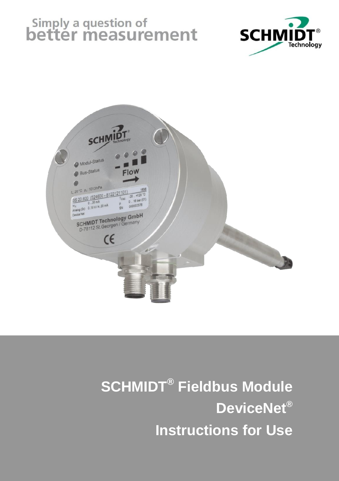# Simply a question of<br>better measurement





## **SCHMIDT® Fieldbus Module DeviceNet® Instructions for Use**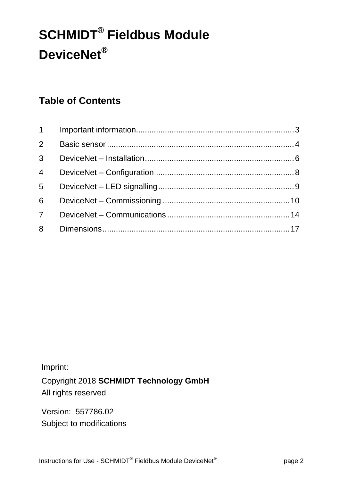## **SCHMIDT® Fieldbus Module DeviceNet®**

## **Table of Contents**

| $2^{\circ}$ |  |
|-------------|--|
|             |  |
|             |  |
|             |  |
| $6 -$       |  |
| $7^{\circ}$ |  |
|             |  |

Imprint:

Copyright 2018 **SCHMIDT Technology GmbH** All rights reserved

Version: 557786.02 Subject to modifications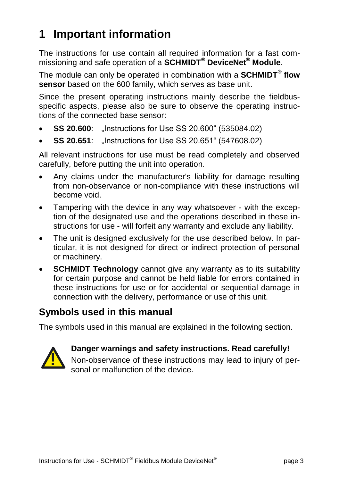## <span id="page-2-0"></span>**1 Important information**

The instructions for use contain all required information for a fast commissioning and safe operation of a **SCHMIDT® DeviceNet® Module**.

The module can only be operated in combination with a **SCHMIDT® flow sensor** based on the 600 family, which serves as base unit.

Since the present operating instructions mainly describe the fieldbusspecific aspects, please also be sure to observe the operating instructions of the connected base sensor:

- **SS 20.600:** ...Instructions for Use SS 20.600" (535084.02)
- **SS 20.651**: "Instructions for Use SS 20.651" (547608.02)

All relevant instructions for use must be read completely and observed carefully, before putting the unit into operation.

- Any claims under the manufacturer's liability for damage resulting from non-observance or non-compliance with these instructions will become void.
- Tampering with the device in any way whatsoever with the exception of the designated use and the operations described in these instructions for use - will forfeit any warranty and exclude any liability.
- The unit is designed exclusively for the use described below. In particular, it is not designed for direct or indirect protection of personal or machinery.
- **SCHMIDT Technology** cannot give any warranty as to its suitability for certain purpose and cannot be held liable for errors contained in these instructions for use or for accidental or sequential damage in connection with the delivery, performance or use of this unit.

## **Symbols used in this manual**

The symbols used in this manual are explained in the following section.



#### **Danger warnings and safety instructions. Read carefully!**

Non-observance of these instructions may lead to injury of personal or malfunction of the device.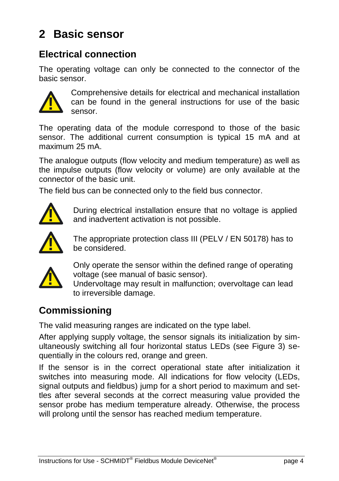## <span id="page-3-0"></span>**2 Basic sensor**

## **Electrical connection**

The operating voltage can only be connected to the connector of the basic sensor.



Comprehensive details for electrical and mechanical installation can be found in the general instructions for use of the basic sensor.

The operating data of the module correspond to those of the basic sensor. The additional current consumption is typical 15 mA and at maximum 25 mA.

The analogue outputs (flow velocity and medium temperature) as well as the impulse outputs (flow velocity or volume) are only available at the connector of the basic unit.

The field bus can be connected only to the field bus connector.



During electrical installation ensure that no voltage is applied and inadvertent activation is not possible.



The appropriate protection class III (PELV / EN 50178) has to be considered.



Only operate the sensor within the defined range of operating voltage (see manual of basic sensor).

Undervoltage may result in malfunction; overvoltage can lead to irreversible damage.

## **Commissioning**

The valid measuring ranges are indicated on the type label.

After applying supply voltage, the sensor signals its initialization by simultaneously switching all four horizontal status LEDs (see Figure 3) sequentially in the colours red, orange and green.

If the sensor is in the correct operational state after initialization it switches into measuring mode. All indications for flow velocity (LEDs, signal outputs and fieldbus) jump for a short period to maximum and settles after several seconds at the correct measuring value provided the sensor probe has medium temperature already. Otherwise, the process will prolong until the sensor has reached medium temperature.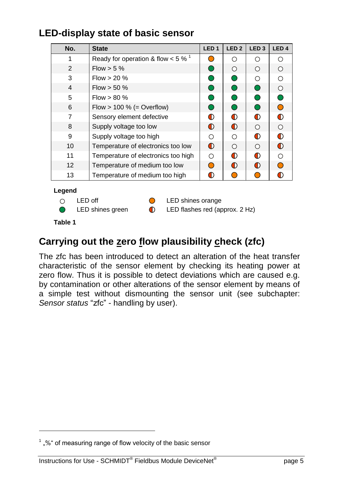## **LED-display state of basic sensor**

| No.            | <b>State</b>                                     | LED <sub>1</sub> | LED <sub>2</sub> | LED <sub>3</sub> | LED <sub>4</sub> |
|----------------|--------------------------------------------------|------------------|------------------|------------------|------------------|
| 1              | Ready for operation & flow $< 5 \%$ <sup>1</sup> |                  | ∩                | ∩                | ∩                |
| 2              | Flow $>$ 5 %                                     |                  | ◯                | ∩                | ∩                |
| 3              | Flow $> 20 \%$                                   |                  |                  | ◯                | ∩                |
| $\overline{4}$ | Flow $>$ 50 %                                    |                  | ◯                | ∩                | ∩                |
| 5              | $Flow > 80 \%$                                   |                  | $\cup$           | ◯                |                  |
| 6              | Flow $> 100 %$ (= Overflow)                      |                  | O                | ∩                | ∩                |
| 7              | Sensory element defective                        | ∩                | O                | ∩                | ∩                |
| 8              | Supply voltage too low                           | $\bigcirc$       | O                | ∩                | ∩                |
| 9              | Supply voltage too high                          | ∩                | ∩                | ∩                | ∩                |
| 10             | Temperature of electronics too low               | $\bigcirc$       | ∩                | $\bigcirc$       | ∩                |
| 11             | Temperature of electronics too high              | ∩                | O                | ∩                | ∩                |
| 12             | Temperature of medium too low                    |                  | O                | ∩                |                  |
| 13             | Temperature of medium too high                   | D                |                  |                  |                  |

#### **Legend**

- 
- $\bigcirc$

 $\bigcirc$  LED off  $\bigcirc$  LED shines orange

LED shines green  $\qquad \qquad \bullet$  LED flashes red (approx. 2 Hz)

<span id="page-4-0"></span>**Table 1**

1

## **Carrying out the zero flow plausibility check (zfc)**

The zfc has been introduced to detect an alteration of the heat transfer characteristic of the sensor element by checking its heating power at zero flow. Thus it is possible to detect deviations which are caused e.g. by contamination or other alterations of the sensor element by means of a simple test without dismounting the sensor unit (see subchapter: *Sensor status* "zfc" - [handling by user\)](#page-15-0).

 $1$ , %" of measuring range of flow velocity of the basic sensor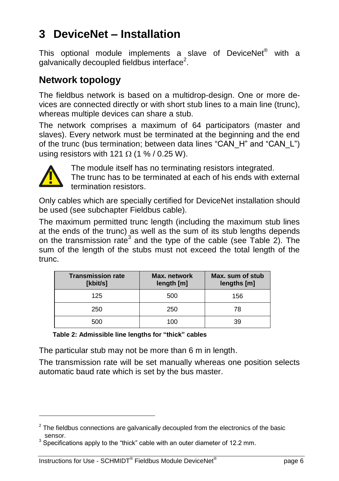## <span id="page-5-0"></span>**3 DeviceNet – Installation**

This optional module implements a slave of DeviceNet<sup>®</sup> with a galvanically decoupled fieldbus interface<sup>2</sup>.

### **Network topology**

The fieldbus network is based on a multidrop-design. One or more devices are connected directly or with short stub lines to a main line (trunc), whereas multiple devices can share a stub.

The network comprises a maximum of 64 participators (master and slaves). Every network must be terminated at the beginning and the end of the trunc (bus termination; between data lines "CAN\_H" and "CAN\_L") using resistors with 121  $\Omega$  (1 % / 0.25 W).



1

The module itself has no terminating resistors integrated. The trunc has to be terminated at each of his ends with external termination resistors.

Only cables which are specially certified for DeviceNet installation should be used (see subchapter [Fieldbus](#page-6-0) cable).

The maximum permitted trunc length (including the maximum stub lines at the ends of the trunc) as well as the sum of its stub lengths depends on the transmission rate<sup>3</sup> and the type of the cable (see [Table 2\)](#page-5-1). The sum of the length of the stubs must not exceed the total length of the trunc.

| <b>Transmission rate</b><br>[kbit/s] | Max. network<br>length [m] | Max. sum of stub<br>lengths [m] |
|--------------------------------------|----------------------------|---------------------------------|
| 125                                  | 500                        | 156                             |
| 250                                  | 250                        | 78                              |
| 500                                  | 100                        | 39                              |

<span id="page-5-1"></span>**Table 2: Admissible line lengths for "thick" cables**

The particular stub may not be more than 6 m in length.

The transmission rate will be set manually whereas one position selects automatic baud rate which is set by the bus master.

 $2$  The fieldbus connections are galvanically decoupled from the electronics of the basic sensor.

 $3$  Specifications apply to the "thick" cable with an outer diameter of 12.2 mm.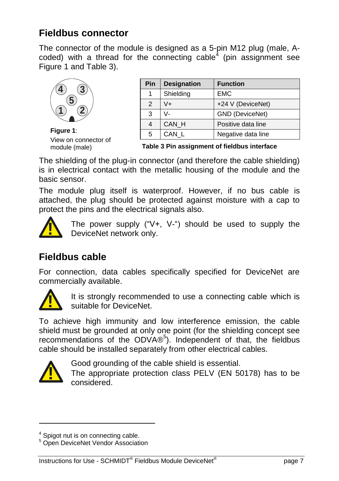## **Fieldbus connector**

The connector of the module is designed as a 5-pin M12 plug (male, Acoded) with a thread for the connecting cable<sup>4</sup> (pin assignment see [Figure](#page-6-1) 1 and [Table 3\)](#page-6-2).



**Figure 1**: View on connector of module (male)

| Pin           | <b>Designation</b> | <b>Function</b>    |
|---------------|--------------------|--------------------|
|               | Shielding          | <b>EMC</b>         |
| $\mathcal{P}$ | V+                 | +24 V (DeviceNet)  |
| 3             | V-                 | GND (DeviceNet)    |
| 4             | CAN H              | Positive data line |
| 5             | CAN L              | Negative data line |

<span id="page-6-2"></span>**Table 3 Pin assignment of fieldbus interface**

<span id="page-6-1"></span>The shielding of the plug-in connector (and therefore the cable shielding) is in electrical contact with the metallic housing of the module and the basic sensor.

The module plug itself is waterproof. However, if no bus cable is attached, the plug should be protected against moisture with a cap to protect the pins and the electrical signals also.



The power supply  $("V+. V-")$  should be used to supply the DeviceNet network only.

## <span id="page-6-0"></span>**Fieldbus cable**

For connection, data cables specifically specified for DeviceNet are commercially available.



It is strongly recommended to use a connecting cable which is suitable for DeviceNet.

To achieve high immunity and low interference emission, the cable shield must be grounded at only one point (for the shielding concept see recommendations of the ODVA®<sup>5</sup>). Independent of that, the fieldbus cable should be installed separately from other electrical cables.



-

Good grounding of the cable shield is essential.

The appropriate protection class PELV (EN 50178) has to be considered.

<sup>&</sup>lt;sup>4</sup> Spigot nut is on connecting cable.

<sup>5</sup> Open DeviceNet Vendor Association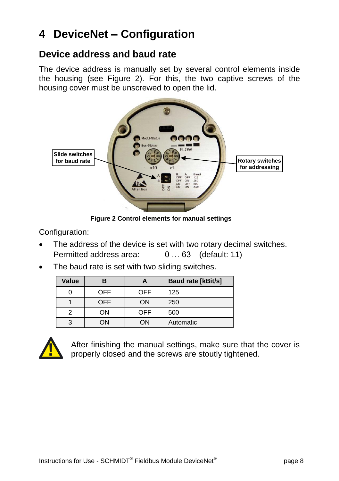## <span id="page-7-0"></span>**4 DeviceNet – Configuration**

#### **Device address and baud rate**

The device address is manually set by several control elements inside the housing (see [Figure 2\)](#page-7-1). For this, the two captive screws of the housing cover must be unscrewed to open the lid.



**Figure 2 Control elements for manual settings**

<span id="page-7-1"></span>Configuration:

- The address of the device is set with two rotary decimal switches. Permitted address area: 0 … 63 (default: 11)
- The baud rate is set with two sliding switches.

| Value | В          |     | <b>Baud rate [kBit/s]</b> |
|-------|------------|-----|---------------------------|
|       | OFF        | OFF | 125                       |
|       | <b>OFF</b> | ON  | 250                       |
|       | OΝ         | OFF | 500                       |
|       | ЭN         | OΝ  | Automatic                 |



After finishing the manual settings, make sure that the cover is properly closed and the screws are stoutly tightened.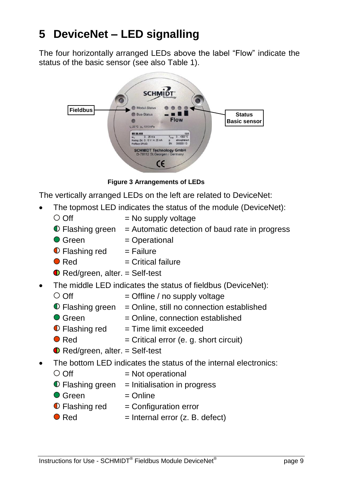## <span id="page-8-0"></span>**5 DeviceNet – LED signalling**

The four horizontally arranged LEDs above the label "Flow" indicate the status of the basic sensor (see also [Table 1\)](#page-4-0).

|                 | <b>SCHMIDT</b><br>Technology                                                                                                                                    |  |
|-----------------|-----------------------------------------------------------------------------------------------------------------------------------------------------------------|--|
| <b>Fieldbus</b> | Modul-Status<br><b>Status</b><br><b>Bus-Status</b><br><b>Flow</b><br><b>Basic sensor</b><br>L 20°C p. 1013hPa                                                   |  |
|                 | 88 20.000<br>1335<br>+350 °C<br>$0.25 \, \text{m/s}$<br>$W_{12}$<br>Tues<br>Analog (2x) 0.10 V / 4.20 mA<br>stmosphärisch<br>000000113<br>SN<br>Profibus DP(V0) |  |
|                 | <b>SCHMIDT Technology GmbH</b><br>D-78112 St.Georgen / Germany<br>$\epsilon$                                                                                    |  |

**Figure 3 Arrangements of LEDs**

The vertically arranged LEDs on the left are related to DeviceNet:

- The topmost LED indicates the status of the module (DeviceNet):
	- $\circ$  Off  $=$  No supply voltage
	- $\bullet$  Flashing green = Automatic detection of baud rate in progress
- $\bullet$  Green  $=$  Operational  $\bullet$  Flashing red = Failure  $\bullet$  Red  $=$  Critical failure  $\bullet$  Red/green, alter. = Self-test • The middle LED indicates the status of fieldbus (DeviceNet):
	- $\circ$  Off  $=$  Offline / no supply voltage
		- $\bullet$  Flashing green = Online, still no connection established
		- $\bullet$  Green  $=$  Online, connection established
		- $\bullet$  Flashing red = Time limit exceeded
		- $\bullet$  Red  $=$  Critical error (e. g. short circuit)
		- $\bullet$  Red/green, alter,  $=$  Self-test
- The bottom LED indicates the status of the internal electronics:
	- $\circ$  Off  $=$  Not operational
	- $\bullet$  Flashing green = Initialisation in progress
	- $\bullet$  Green  $=\text{Online}$
	- $\bullet$  Flashing red = Configuration error
	- $\bullet$  Red = Internal error (z. B. defect)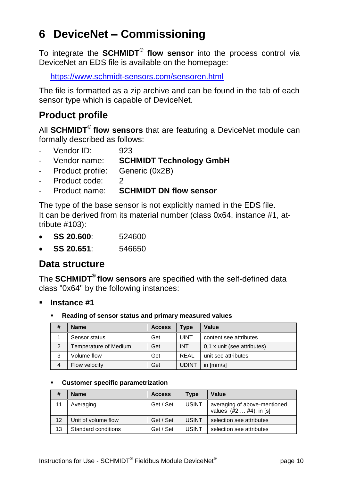## <span id="page-9-0"></span>**6 DeviceNet – Commissioning**

To integrate the **SCHMIDT® flow sensor** into the process control via DeviceNet an EDS file is available on the homepage:

<https://www.schmidt-sensors.com/sensoren.html>

The file is formatted as a zip archive and can be found in the tab of each sensor type which is capable of DeviceNet.

## **Product profile**

All **SCHMIDT® flow sensors** that are featuring a DeviceNet module can formally described as follows:

- Vendor ID: 923
- Vendor name: **SCHMIDT Technology GmbH**
- Product profile: Generic (0x2B)
- Product code: 2
- Product name: **SCHMIDT DN flow sensor**

The type of the base sensor is not explicitly named in the EDS file. It can be derived from its material number (class 0x64, instance #1, attribute #103):

- **SS 20.600**: 524600
- **SS 20.651**: 546650

### **Data structure**

The **SCHMIDT® flow sensors** are specified with the self-defined data class "0x64" by the following instances:

- **Instance #1**
	- **Reading of sensor status and primary measured values**

| #              | <b>Name</b>           | <b>Access</b> | <b>Type</b>  | Value                       |
|----------------|-----------------------|---------------|--------------|-----------------------------|
|                | Sensor status         | Get           | <b>UINT</b>  | content see attributes      |
| $\overline{2}$ | Femperature of Medium | Get           | <b>INT</b>   | 0.1 x unit (see attributes) |
| 3              | Volume flow           | Get           | REAL         | unit see attributes         |
| $\overline{4}$ | Flow velocity         | Get           | <b>UDINT</b> | in ${\rm [mm/s]}$           |

#### **Customer specific parametrization**

| #  | <b>Name</b>         | <b>Access</b> | <b>Type</b>  | Value                                                    |
|----|---------------------|---------------|--------------|----------------------------------------------------------|
| 11 | Averaging           | Get / Set     | <b>USINT</b> | averaging of above-mentioned<br>values $(#2#4)$ ; in [s] |
| 12 | Unit of volume flow | Get / Set     | <b>USINT</b> | selection see attributes                                 |
| 13 | Standard conditions | Get / Set     | <b>USINT</b> | selection see attributes                                 |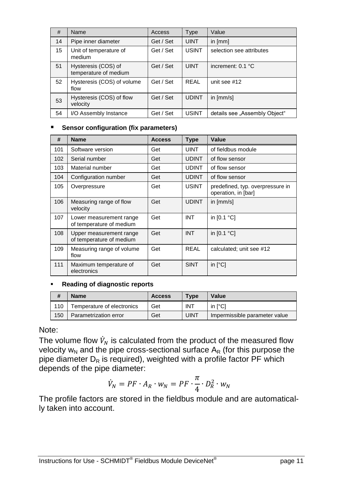| #  | Name                                         | <b>Access</b> | Type         | Value                         |
|----|----------------------------------------------|---------------|--------------|-------------------------------|
| 14 | Pipe inner diameter                          | Get / Set     | <b>UINT</b>  | in $[mm]$                     |
| 15 | Unit of temperature of<br>medium             | Get / Set     | <b>USINT</b> | selection see attributes      |
| 51 | Hysteresis (COS) of<br>temperature of medium | Get / Set     | <b>UINT</b>  | increment: 0.1 °C             |
| 52 | Hysteresis (COS) of volume<br>flow           | Get / Set     | RFAI         | unit see #12                  |
| 53 | Hysteresis (COS) of flow<br>velocity         | Get / Set     | <b>UDINT</b> | in $[mm/s]$                   |
| 54 | I/O Assembly Instance                        | Get / Set     | <b>USINT</b> | details see "Assembly Object" |

#### **Sensor configuration (fix parameters)**

| #   | <b>Name</b>                                         | <b>Access</b> | <b>Type</b>  | Value                                                   |
|-----|-----------------------------------------------------|---------------|--------------|---------------------------------------------------------|
| 101 | Software version                                    | Get           | <b>UINT</b>  | of fieldbus module                                      |
| 102 | Serial number                                       | Get           | <b>UDINT</b> | of flow sensor                                          |
| 103 | Material number                                     | Get           | <b>UDINT</b> | of flow sensor                                          |
| 104 | Configuration number                                | Get           | <b>UDINT</b> | of flow sensor                                          |
| 105 | Overpressure                                        | Get           | <b>USINT</b> | predefined, typ. overpressure in<br>operation, in [bar] |
| 106 | Measuring range of flow<br>velocity                 | Get           | <b>UDINT</b> | in [mm/s]                                               |
| 107 | Lower measurement range<br>of temperature of medium | Get           | <b>INT</b>   | in $[0.1 °C]$                                           |
| 108 | Upper measurement range<br>of temperature of medium | Get           | <b>INT</b>   | in [0.1 °C]                                             |
| 109 | Measuring range of volume<br>flow                   | Get           | <b>REAL</b>  | calculated; unit see #12                                |
| 111 | Maximum temperature of<br>electronics               | Get           | <b>SINT</b>  | in $[^{\circ}C]$                                        |

#### **Reading of diagnostic reports**

| #   | Name                       | <b>Access</b> | <b>Type</b> | Value                         |
|-----|----------------------------|---------------|-------------|-------------------------------|
| 110 | Temperature of electronics | Get           | INT         | in [°C]                       |
| 150 | Parametrization error      | Get           | UINT        | Impermissible parameter value |

#### Note:

The volume flow  $\dot{V}_N$  is calculated from the product of the measured flow velocity  $w_N$  and the pipe cross-sectional surface  $A_R$  (for this purpose the pipe diameter  $D_R$  is required), weighted with a profile factor PF which depends of the pipe diameter:

$$
\dot{V}_N = PF \cdot A_R \cdot w_N = PF \cdot \frac{\pi}{4} \cdot D_R^2 \cdot w_N
$$

The profile factors are stored in the fieldbus module and are automatically taken into account.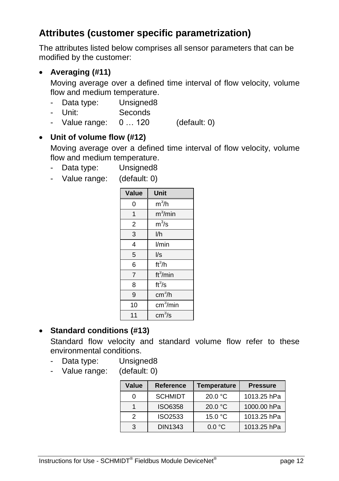## **Attributes (customer specific parametrization)**

The attributes listed below comprises all sensor parameters that can be modified by the customer:

#### **Averaging (#11)**

Moving average over a defined time interval of flow velocity, volume flow and medium temperature.

- Data type: Unsigned8
- Unit: Seconds
- Value range: 0 … 120 (default: 0)

#### **Unit of volume flow (#12)**

Moving average over a defined time interval of flow velocity, volume flow and medium temperature.

- Data type: Unsigned8
- Value range: (default: 0)

| Value                   | Unit                              |
|-------------------------|-----------------------------------|
| 0                       | $m^3/h$                           |
| 1                       | $m^3$ /min                        |
| 2                       | $m^3/s$                           |
| 3                       | I/h                               |
| $\overline{\mathbf{4}}$ | l/min                             |
| 5                       | $\sqrt{s}$                        |
| 6                       | $\overline{\text{ft}}^3/\text{h}$ |
| $\overline{7}$          | ft <sup>3</sup> /min              |
| 8                       | $\overline{\text{ft}^3}/\text{s}$ |
| 9                       | cm <sup>3</sup> /h                |
| 10                      | $\overline{\text{cm}}^3$ /min     |
| 11                      | cm <sup>3</sup> /s                |

#### **Standard conditions (#13)**

Standard flow velocity and standard volume flow refer to these environmental conditions.

- Data type: Unsigned8
- Value range: (default: 0)

| Value | Reference      | Temperature      | <b>Pressure</b> |
|-------|----------------|------------------|-----------------|
| 0     | <b>SCHMIDT</b> | 20.0 °C          | 1013.25 hPa     |
|       | ISO6358        | 20.0 °C          | 1000.00 hPa     |
| 2     | ISO2533        | 15.0 °C          | 1013.25 hPa     |
| 3     | DIN1343        | $0.0 \text{ °C}$ | 1013.25 hPa     |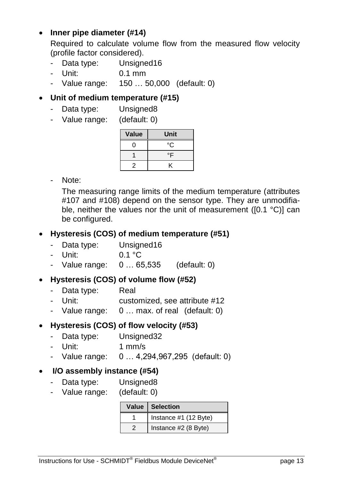#### **Inner pipe diameter (#14)**

Required to calculate volume flow from the measured flow velocity (profile factor considered).

- Data type: Unsigned16
- Unit: 0.1 mm
- Value range: 150 … 50,000 (default: 0)

#### **Unit of medium temperature (#15)**

- Data type: Unsigned8
- Value range: (default: 0)

| Value | Unit |
|-------|------|
| 0     | °C   |
|       | °F   |
| 2     | ĸ    |

- Note:

The measuring range limits of the medium temperature (attributes #107 and #108) depend on the sensor type. They are unmodifiable, neither the values nor the unit of measurement ([0.1 °C)] can be configured.

#### **Hysteresis (COS) of medium temperature (#51)**

- Data type: Unsigned16
- $-$  Unit: 0.1 °C
- Value range: 0 … 65,535 (default: 0)

#### **Hysteresis (COS) of volume flow (#52)**

- Data type: Real
- Unit: customized, see attribute #12
- Value range: 0 … max. of real (default: 0)

#### **Hysteresis (COS) of flow velocity (#53)**

- Data type: Unsigned32
- Unit: 1 mm/s
- Value range: 0 … 4,294,967,295 (default: 0)

#### **I/O assembly instance (#54)**

- Data type: Unsigned8
- Value range: (default: 0)

| Value   Selection     |
|-----------------------|
| Instance #1 (12 Byte) |
| Instance #2 (8 Byte)  |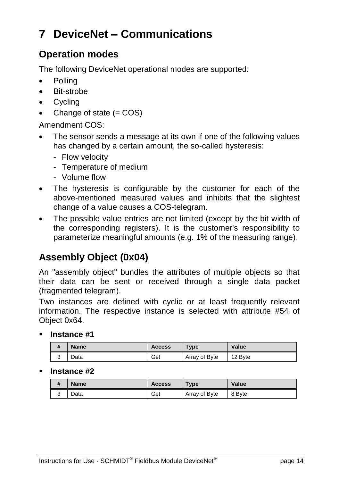## <span id="page-13-0"></span>**7 DeviceNet – Communications**

## **Operation modes**

The following DeviceNet operational modes are supported:

- Polling
- Bit-strobe
- Cycling
- Change of state (= COS)

Amendment COS:

- The sensor sends a message at its own if one of the following values has changed by a certain amount, the so-called hysteresis:
	- Flow velocity
	- Temperature of medium
	- Volume flow
- The hysteresis is configurable by the customer for each of the above-mentioned measured values and inhibits that the slightest change of a value causes a COS-telegram.
- The possible value entries are not limited (except by the bit width of the corresponding registers). It is the customer's responsibility to parameterize meaningful amounts (e.g. 1% of the measuring range).

## **Assembly Object (0x04)**

An "assembly object" bundles the attributes of multiple objects so that their data can be sent or received through a single data packet (fragmented telegram).

Two instances are defined with cyclic or at least frequently relevant information. The respective instance is selected with attribute #54 of Object 0x64.

**Instance #1**

| #           | <b>Name</b> | <b>Access</b> | $TV$ pe       | Value   |
|-------------|-------------|---------------|---------------|---------|
| $\sim$<br>ັ | .<br>Jata   | Get           | Array of Byte | 12 Byte |

#### **Instance #2**

| $\overline{u}$<br># | <b>Name</b> | Access | $T$ <sub>Vpe</sub> | Value  |
|---------------------|-------------|--------|--------------------|--------|
| $\sim$<br>ٮ         | Data        | Get    | Array of Byte      | 8 Byte |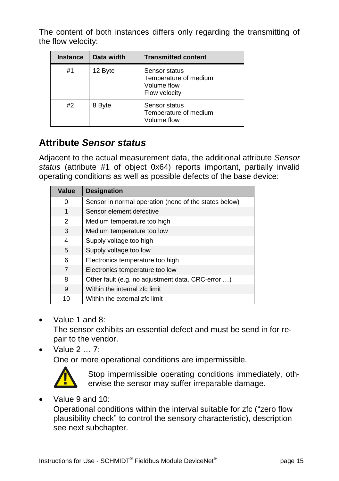The content of both instances differs only regarding the transmitting of the flow velocity:

| <b>Instance</b> | Data width | <b>Transmitted content</b>                                             |
|-----------------|------------|------------------------------------------------------------------------|
| #1              | 12 Byte    | Sensor status<br>Temperature of medium<br>Volume flow<br>Flow velocity |
| #2              | 8 Byte     | Sensor status<br>Temperature of medium<br>Volume flow                  |

## **Attribute** *Sensor status*

Adjacent to the actual measurement data, the additional attribute *Sensor status* (attribute #1 of object 0x64) reports important, partially invalid operating conditions as well as possible defects of the base device:

| Value | <b>Designation</b>                                    |
|-------|-------------------------------------------------------|
| 0     | Sensor in normal operation (none of the states below) |
| 1     | Sensor element defective                              |
| 2     | Medium temperature too high                           |
| 3     | Medium temperature too low                            |
| 4     | Supply voltage too high                               |
| 5     | Supply voltage too low                                |
| 6     | Electronics temperature too high                      |
| 7     | Electronics temperature too low                       |
| 8     | Other fault (e.g. no adjustment data, CRC-error )     |
| 9     | Within the internal zfc limit                         |
| 10    | Within the external zfc limit                         |

Value 1 and 8:

The sensor exhibits an essential defect and must be send in for repair to the vendor.

Value 2 … 7:

One or more operational conditions are impermissible.



Stop impermissible operating conditions immediately, otherwise the sensor may suffer irreparable damage.

Value 9 and 10:

Operational conditions within the interval suitable for zfc ("zero flow plausibility check" to control the sensory characteristic), description see next subchapter.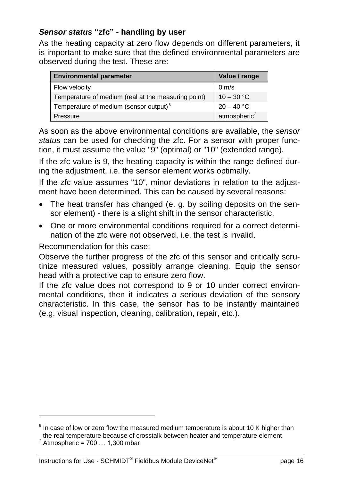#### <span id="page-15-0"></span>*Sensor status* **"zfc" - handling by user**

As the heating capacity at zero flow depends on different parameters, it is important to make sure that the defined environmental parameters are observed during the test. These are:

| <b>Environmental parameter</b>                      | Value / range            |
|-----------------------------------------------------|--------------------------|
| Flow velocity                                       | $0 \text{ m/s}$          |
| Temperature of medium (real at the measuring point) | $10 - 30 °C$             |
| Temperature of medium (sensor output) <sup>6</sup>  | $20 - 40 °C$             |
| Pressure                                            | atmospheric <sup>7</sup> |

As soon as the above environmental conditions are available, the *sensor status* can be used for checking the zfc. For a sensor with proper function, it must assume the value "9" (optimal) or "10" (extended range).

If the zfc value is 9, the heating capacity is within the range defined during the adjustment, i.e. the sensor element works optimally.

If the zfc value assumes "10", minor deviations in relation to the adjustment have been determined. This can be caused by several reasons:

- The heat transfer has changed (e. g. by soiling deposits on the sensor element) - there is a slight shift in the sensor characteristic.
- One or more environmental conditions required for a correct determination of the zfc were not observed, i.e. the test is invalid.

Recommendation for this case:

Observe the further progress of the zfc of this sensor and critically scrutinize measured values, possibly arrange cleaning. Equip the sensor head with a protective cap to ensure zero flow.

If the zfc value does not correspond to 9 or 10 under correct environmental conditions, then it indicates a serious deviation of the sensory characteristic. In this case, the sensor has to be instantly maintained (e.g. visual inspection, cleaning, calibration, repair, etc.).

1

 $6$  In case of low or zero flow the measured medium temperature is about 10 K higher than the real temperature because of crosstalk between heater and temperature element.

 $^7$  Atmospheric = 700 ... 1,300 mbar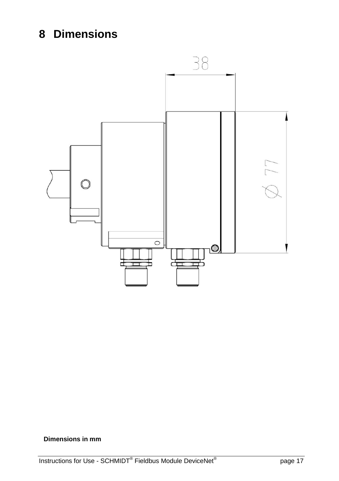## <span id="page-16-0"></span>**8 Dimensions**



#### **Dimensions in mm**